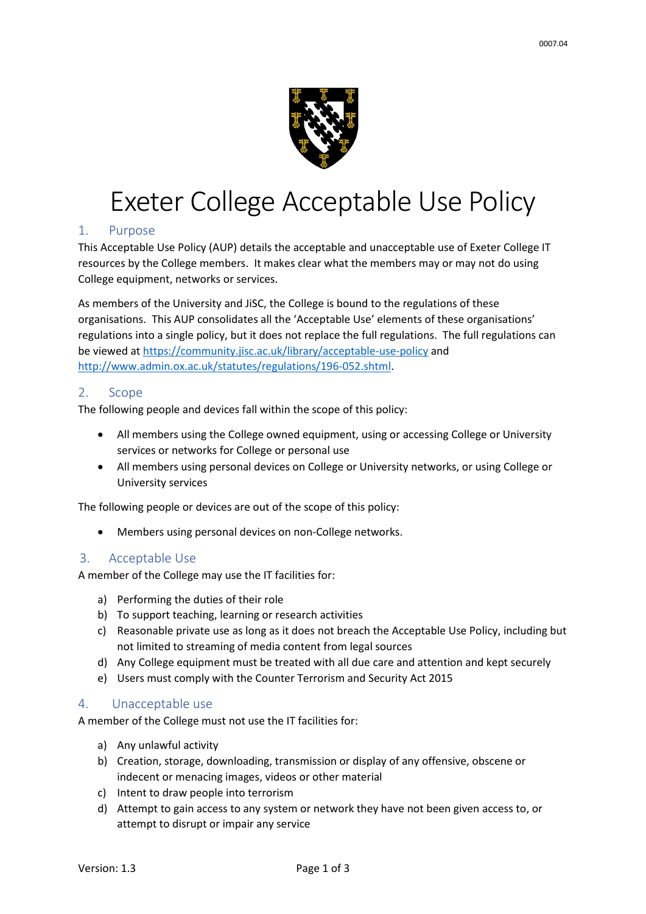

# Exeter College Acceptable Use Policy

#### 1. Purpose

This Acceptable Use Policy (AUP) details the acceptable and unacceptable use of Exeter College IT resources by the College members. It makes clear what the members may or may not do using College equipment, networks or services.

As members of the University and JiSC, the College is bound to the regulations of these organisations. This AUP consolidates all the 'Acceptable Use' elements of these organisations' regulations into a single policy, but it does not replace the full regulations. The full regulations can be viewed at<https://community.jisc.ac.uk/library/acceptable-use-policy> and [http://www.admin.ox.ac.uk/statutes/regulations/196-052.shtml.](http://www.admin.ox.ac.uk/statutes/regulations/196-052.shtml)

#### 2. Scope

The following people and devices fall within the scope of this policy:

- All members using the College owned equipment, using or accessing College or University services or networks for College or personal use
- All members using personal devices on College or University networks, or using College or University services

The following people or devices are out of the scope of this policy:

• Members using personal devices on non-College networks.

#### 3. Acceptable Use

A member of the College may use the IT facilities for:

- a) Performing the duties of their role
- b) To support teaching, learning or research activities
- c) Reasonable private use as long as it does not breach the Acceptable Use Policy, including but not limited to streaming of media content from legal sources
- d) Any College equipment must be treated with all due care and attention and kept securely
- e) Users must comply with the Counter Terrorism and Security Act 2015

#### 4. Unacceptable use

A member of the College must not use the IT facilities for:

- a) Any unlawful activity
- b) Creation, storage, downloading, transmission or display of any offensive, obscene or indecent or menacing images, videos or other material
- c) Intent to draw people into terrorism
- d) Attempt to gain access to any system or network they have not been given access to, or attempt to disrupt or impair any service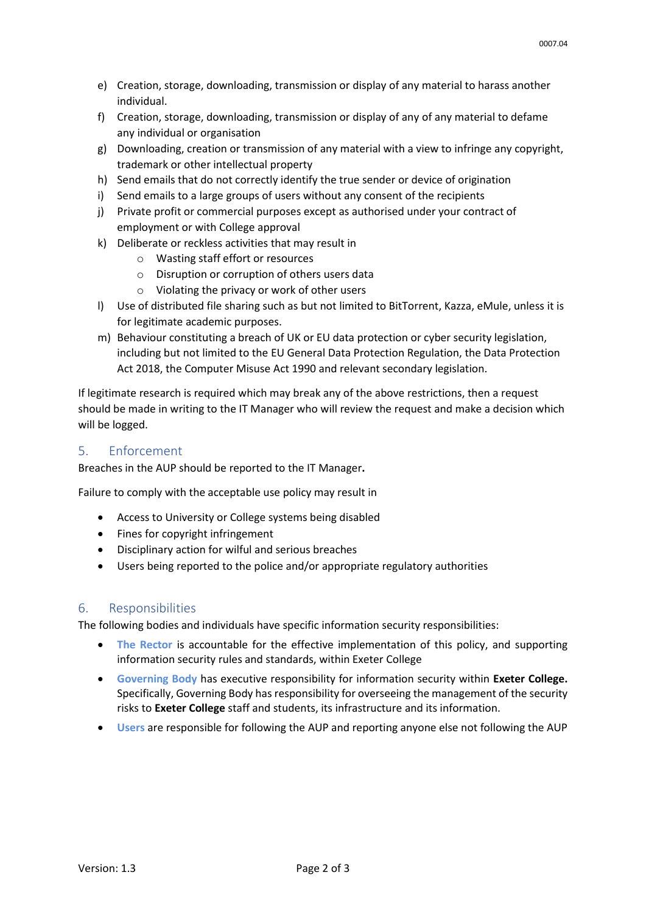- e) Creation, storage, downloading, transmission or display of any material to harass another individual.
- f) Creation, storage, downloading, transmission or display of any of any material to defame any individual or organisation
- g) Downloading, creation or transmission of any material with a view to infringe any copyright, trademark or other intellectual property
- h) Send emails that do not correctly identify the true sender or device of origination
- i) Send emails to a large groups of users without any consent of the recipients
- j) Private profit or commercial purposes except as authorised under your contract of employment or with College approval
- k) Deliberate or reckless activities that may result in
	- o Wasting staff effort or resources
	- o Disruption or corruption of others users data
	- o Violating the privacy or work of other users
- l) Use of distributed file sharing such as but not limited to BitTorrent, Kazza, eMule, unless it is for legitimate academic purposes.
- m) Behaviour constituting a breach of UK or EU data protection or cyber security legislation, including but not limited to the EU General Data Protection Regulation, the Data Protection Act 2018, the Computer Misuse Act 1990 and relevant secondary legislation.

If legitimate research is required which may break any of the above restrictions, then a request should be made in writing to the IT Manager who will review the request and make a decision which will be logged.

#### 5. Enforcement

Breaches in the AUP should be reported to the IT Manager**.**

Failure to comply with the acceptable use policy may result in

- Access to University or College systems being disabled
- Fines for copyright infringement
- Disciplinary action for wilful and serious breaches
- Users being reported to the police and/or appropriate regulatory authorities

#### 6. Responsibilities

The following bodies and individuals have specific information security responsibilities:

- **The Rector is accountable for the effective implementation of this policy, and supporting** information security rules and standards, within Exeter College
- **Governing Body** has executive responsibility for information security within **Exeter College.**  Specifically, Governing Body has responsibility for overseeing the management of the security risks to **Exeter College** staff and students, its infrastructure and its information.
- **Users** are responsible for following the AUP and reporting anyone else not following the AUP